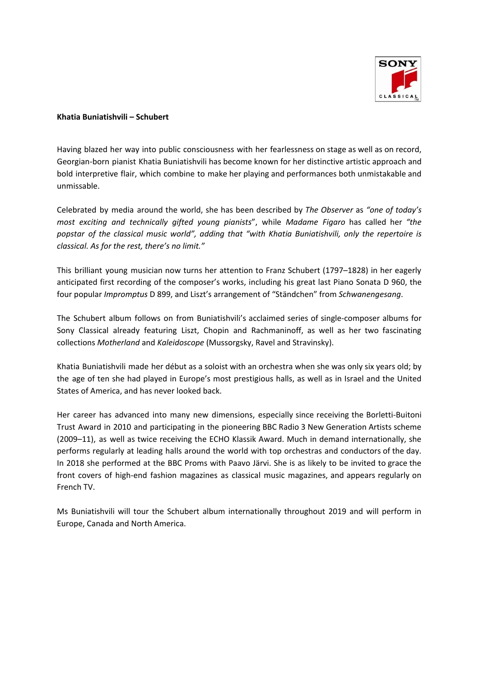

## **Khatia Buniatishvili – Schubert**

Having blazed her way into public consciousness with her fearlessness on stage as well as on record, Georgian-born pianist Khatia Buniatishvili has become known for her distinctive artistic approach and bold interpretive flair, which combine to make her playing and performances both unmistakable and unmissable.

Celebrated by media around the world, she has been described by *The Observer* as *"one of today's most exciting and technically gifted young pianists*", while *Madame Figaro* has called her *"the popstar of the classical music world", adding that "with Khatia Buniatishvili, only the repertoire is classical. As for the rest, there's no limit."*

This brilliant young musician now turns her attention to Franz Schubert (1797–1828) in her eagerly anticipated first recording of the composer's works, including his great last Piano Sonata D 960, the four popular *Impromptus* D 899, and Liszt's arrangement of "Ständchen" from *Schwanengesang*.

The Schubert album follows on from Buniatishvili's acclaimed series of single-composer albums for Sony Classical already featuring Liszt, Chopin and Rachmaninoff, as well as her two fascinating collections *Motherland* and *Kaleidoscope* (Mussorgsky, Ravel and Stravinsky).

Khatia Buniatishvili made her début as a soloist with an orchestra when she was only six years old; by the age of ten she had played in Europe's most prestigious halls, as well as in Israel and the United States of America, and has never looked back.

Her career has advanced into many new dimensions, especially since receiving the Borletti-Buitoni Trust Award in 2010 and participating in the pioneering BBC Radio 3 New Generation Artists scheme (2009–11), as well as twice receiving the ECHO Klassik Award. Much in demand internationally, she performs regularly at leading halls around the world with top orchestras and conductors of the day. In 2018 she performed at the BBC Proms with Paavo Järvi. She is as likely to be invited to grace the front covers of high-end fashion magazines as classical music magazines, and appears regularly on French TV.

Ms Buniatishvili will tour the Schubert album internationally throughout 2019 and will perform in Europe, Canada and North America.